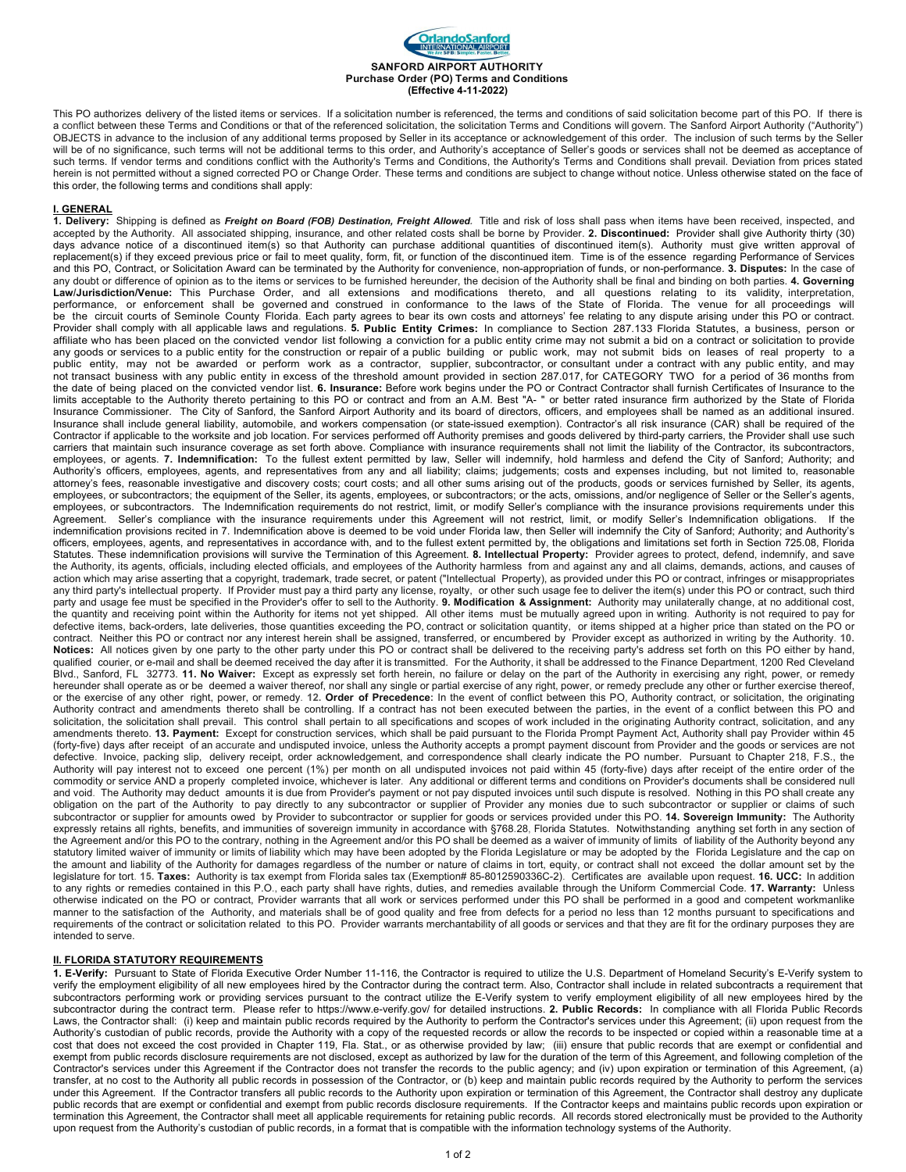

This PO authorizes delivery of the listed items or services. If a solicitation number is referenced, the terms and conditions of said solicitation become part of this PO. If there is a conflict between these Terms and Conditions or that of the referenced solicitation, the solicitation Terms and Conditions will govern. The Sanford Airport Authority ("Authority") OBJECTS in advance to the inclusion of any additional terms proposed by Seller in its acceptance or acknowledgement of this order. The inclusion of such terms by the Seller will be of no significance, such terms will not be additional terms to this order, and Authority's acceptance of Seller's goods or services shall not be deemed as acceptance of such terms. If vendor terms and conditions conflict with the Authority's Terms and Conditions, the Authority's Terms and Conditions shall prevail. Deviation from prices stated herein is not permitted without a signed corrected PO or Change Order. These terms and conditions are subject to change without notice. Unless otherwise stated on the face of this order, the following terms and conditions shall apply:

## **I. GENERAL**

**1. Delivery:** Shipping is defined as *Freight on Board (FOB) Destination, Freight Allowed.* Title and risk of loss shall pass when items have been received, inspected, and accepted by the Authority. All associated shipping, insurance, and other related costs shall be borne by Provider. **2. Discontinued:** Provider shall give Authority thirty (30) days advance notice of a discontinued item(s) so that Authority can purchase additional quantities of discontinued item(s). Authority must give written approval of replacement(s) if they exceed previous price or fail to meet quality, form, fit, or function of the discontinued item. Time is of the essence regarding Performance of Services and this PO, Contract, or Solicitation Award can be terminated by the Authority for convenience, non-appropriation of funds, or non-performance. **3. Disputes:** In the case of any doubt or difference of opinion as to the items or services to be furnished hereunder, the decision of the Authority shall be final and binding on both parties. **4. Governing Law/Jurisdiction/Venue:** This Purchase Order, and all extensions and modifications thereto, and all questions relating to its validity, interpretation, performance, or enforcement shall be governed and construed in conformance to the laws of the State of Florida. The venue for all proceedings will be the circuit courts of Seminole County Florida. Each party agrees to bear its own costs and attorneys' fee relating to any dispute arising under this PO or contract. Provider shall comply with all applicable laws and regulations. **5. Public Entity Crimes:** In compliance to Section 287.133 Florida Statutes, a business, person or affiliate who has been placed on the convicted vendor list following a conviction for a public entity crime may not submit a bid on a contract or solicitation to provide any goods or services to a public entity for the construction or repair of a public building or public work, may not submit bids on leases of real property to a public entity, may not be awarded or perform work as a contractor, supplier, subcontractor, or consultant under a contract with any public entity, and may not transact business with any public entity in excess of the threshold amount provided in section 287.017, for CATEGORY TWO for a period of 36 months from the date of being placed on the convicted vendor list. **6. Insurance:** Before work begins under the PO or Contract Contractor shall furnish Certificates of Insurance to the<br>limits acceptable to the Authority thereto pertai Insurance Commissioner. The City of Sanford, the Sanford Airport Authority and its board of directors, officers, and employees shall be named as an additional insured. Insurance shall include general liability, automobile, and workers compensation (or state-issued exemption). Contractor's all risk insurance (CAR) shall be required of the Contractor if applicable to the worksite and job location. For services performed off Authority premises and goods delivered by third-party carriers, the Provider shall use such carriers that maintain such insurance coverage as set forth above. Compliance with insurance requirements shall not limit the liability of the Contractor, its subcontractors, employees, or agents. **7. Indemnification:** To the fullest extent permitted by law, Seller will indemnify, hold harmless and defend the City of Sanford; Authority; and Authority's officers, employees, agents, and representatives from any and all liability; claims; judgements; costs and expenses including, but not limited to, reasonable attorney's fees, reasonable investigative and discovery costs; court costs; and all other sums arising out of the products, goods or services furnished by Seller, its agents, employees, or subcontractors; the equipment of the Seller, its agents, employees, or subcontractors; or the acts, omissions, and/or negligence of Seller or the Seller's agents, employees, or subcontractors. The Indemnification requirements do not restrict, limit, or modify Seller's compliance with the insurance provisions requirements under this Agreement. Seller's compliance with the insurance requirements under this Agreement will not restrict, limit, or modify Seller's Indemnification obligations. If the indemnification provisions recited in 7. Indemnification above is deemed to be void under Florida law, then Seller will indemnify the City of Sanford; Authority; and Authority's officers, employees, agents, and representatives in accordance with, and to the fullest extent permitted by, the obligations and limitations set forth in Section 725.08, Florida Statutes. These indemnification provisions will survive the Termination of this Agreement. **8. Intellectual Property:** Provider agrees to protect, defend, indemnify, and save the Authority, its agents, officials, including elected officials, and employees of the Authority harmless from and against any and all claims, demands, actions, and causes of action which may arise asserting that a copyright, trademark, trade secret, or patent ("Intellectual Property), as provided under this PO or contract, infringes or misappropriates any third party's intellectual property. If Provider must pay a third party any license, royalty, or other such usage fee to deliver the item(s) under this PO or contract, such third party and usage fee must be specified in the Provider's offer to sell to the Authority. **9. Modification & Assignment:** Authority may unilaterally change, at no additional cost, the quantity and receiving point within the Authority for items not yet shipped. All other items must be mutually agreed upon in writing. Authority is not required to pay for defective items, back-orders, late deliveries, those quantities exceeding the PO, contract or solicitation quantity, or items shipped at a higher price than stated on the PO or contract. Neither this PO or contract nor any interest herein shall be assigned, transferred, or encumbered by Provider except as authorized in writing by the Authority. **10.**  Notices: All notices given by one party to the other party under this PO or contract shall be delivered to the receiving party's address set forth on this PO either by hand, qualified courier, or e-mail and shall be deemed received the day after it is transmitted. For the Authority, it shall be addressed to the Finance Department, 1200 Red Cleveland Blvd., Sanford, FL 32773. **11. No Waiver:** Except as expressly set forth herein, no failure or delay on the part of the Authority in exercising any right, power, or remedy hereunder shall operate as or be deemed a waiver thereof, nor shall any single or partial exercise of any right, power, or remedy preclude any other or further exercise thereof, or the exercise of any other right, power, or remedy. **12. Order of Precedence:** In the event of conflict between this PO, Authority contract, or solicitation, the originating Authority contract and amendments thereto shall be controlling. If a contract has not been executed between the parties, in the event of a conflict between this PO and solicitation, the solicitation shall prevail. This control shall pertain to all specifications and scopes of work included in the originating Authority contract, solicitation, and any amendments thereto. **13. Payment:** Except for construction services, which shall be paid pursuant to the Florida Prompt Payment Act, Authority shall pay Provider within 45 (forty-five) days after receipt of an accurate and undisputed invoice, unless the Authority accepts a prompt payment discount from Provider and the goods or services are not defective. Invoice, packing slip, delivery receipt, order acknowledgement, and correspondence shall clearly indicate the PO number. Pursuant to Chapter 218, F.S., the Authority will pay interest not to exceed one percent (1%) per month on all undisputed invoices not paid within 45 (forty-five) days after receipt of the entire order of the commodity or service AND a properly completed invoice, whichever is later. Any additional or different terms and conditions on Provider's documents shall be considered null and void. The Authority may deduct amounts it is due from Provider's payment or not pay disputed invoices until such dispute is resolved. Nothing in this PO shall create any obligation on the part of the Authority to pay directly to any subcontractor or supplier of Provider any monies due to such subcontractor or supplier or claims of such subcontractor or supplier for amounts owed by Provider to subcontractor or supplier for goods or services provided under this PO. **14. Sovereign Immunity:** The Authority expressly retains all rights, benefits, and immunities of sovereign immunity in accordance with §768.28, Florida Statutes. Notwithstanding anything set forth in any section of the Agreement and/or this PO to the contrary, nothing in the Agreement and/or this PO shall be deemed as a waiver of immunity of limits of liability of the Authority beyond any statutory limited waiver of immunity or limits of liability which may have been adopted by the Florida Legislature or may be adopted by the Florida Legislature and the cap on the amount and liability of the Authority for damages regardless of the number or nature of claims in tort, equity, or contract shall not exceed the dollar amount set by the legislature for tort. 15. Taxes: Authority is tax exempt from Florida sales tax (Exemption# 85-8012590336C-2). Certificates are available upon request. 16. UCC: In addition to any rights or remedies contained in this P.O., each party shall have rights, duties, and remedies available through the Uniform Commercial Code. **17. Warranty:** Unless<br>otherwise indicated on the PO or contract, Provider manner to the satisfaction of the Authority, and materials shall be of good quality and free from defects for a period no less than 12 months pursuant to specifications and requirements of the contract or solicitation related to this PO. Provider warrants merchantability of all goods or services and that they are fit for the ordinary purposes they are intended to serve.

## **II. FLORIDA STATUTORY REQUIREMENTS**

**1. E-Verify:** Pursuant to State of Florida Executive Order Number 11-116, the Contractor is required to utilize the U.S. Department of Homeland Security's E-Verify system to verify the employment eligibility of all new employees hired by the Contractor during the contract term. Also, Contractor shall include in related subcontracts a requirement that subcontractors performing work or providing services pursuant to the contract utilize the E-Verify system to verify employment eligibility of all new employees hired by the subcontractor during the contract term. Please refer to https://www.e-verify.gov/ for detailed instructions. **2. Public Records:** In compliance with all Florida Public Records<br>Laws, the Contractor shall: (i) keep and ma Authority's custodian of public records, provide the Authority with a copy of the requested records or allow the records to be inspected or copied within a reasonable time at a cost that does not exceed the cost provided in Chapter 119, Fla. Stat., or as otherwise provided by law; (iii) ensure that public records that are exempt or confidential and exempt from public records disclosure requirements are not disclosed, except as authorized by law for the duration of the term of this Agreement, and following completion of the Contractor's services under this Agreement if the Contractor does not transfer the records to the public agency; and (iv) upon expiration or termination of this Agreement, (a) transfer, at no cost to the Authority all public records in possession of the Contractor, or (b) keep and maintain public records required by the Authority to perform the services under this Agreement. If the Contractor transfers all public records to the Authority upon expiration or termination of this Agreement, the Contractor shall destroy any duplicate public records that are exempt or confidential and exempt from public records disclosure requirements. If the Contractor keeps and maintains public records upon expiration or termination this Agreement, the Contractor shall meet all applicable requirements for retaining public records. All records stored electronically must be provided to the Authority upon request from the Authority's custodian of public records, in a format that is compatible with the information technology systems of the Authority.